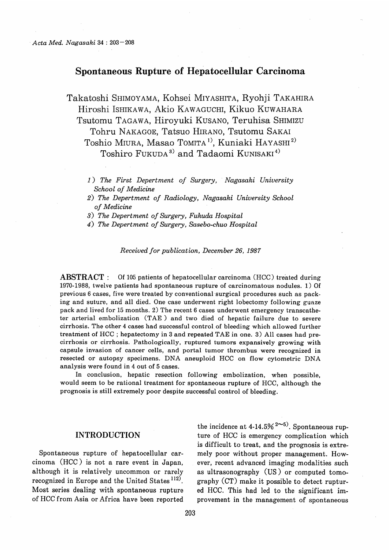# Spontaneous Rupture of Hepatocellular Carcinoma

Takatoshi SHIMOYAMA, Kohsei MIYASHITA, Ryohji TAKAHIRA Hiroshi ISHIKAWA, Akio KAWAGUCHI, Kikuo KUWAHARA Tsutomu TAGAWA, Hiroyuki KUSANO, Teruhisa SHIMIZU Tohru NAKAGOE, Tatsuo HIRANO, Tsutomu SAKAI Toshio MIURA, Masao TOMITA<sup>1)</sup>, Kuniaki HAYASHI<sup>2)</sup> Toshiro FUKUDA<sup>3)</sup> and Tadaomi KUNISAKI<sup>4)</sup>

- 1) The First Depertment of Surgery, Nagasaki University School of Medicine
- 2) The Depertment of Radiology, Nagasaki University School of Medicine
- 3) The Depertment of Surgery, Fukuda Hospital
- 4) The Depertment of Surgery, Sasebo-chuo Hospital

Received for publication, December 26, 1987

ABSTRACT : Of 105 patients of hepatocellular carcinoma (HCC) treated during 1970-1988, twelve patients had spontaneous rupture of carcinomatous nodules. 1) Of previous 6 cases, five were treated by conventional surgical procedures such as packing and suture, and all died. One case underwent right lobectomy following guaze pack and lived for 15 months. 2) The recent 6 cases underwent emergency transcatheter arterial embolization (TAE ) and two died of hepatic failure due to severe cirrhosis. The other 4 cases had successful control of bleeding which allowed further treatment of HCC ; hepatectomy in 3 and repeated TAE in one. 3) All cases had precirrhosis or cirrhosis. Pathologically, ruptured tumors expansively growing with capsule invasion of cancer cells, and portal tumor thrombus were recognized in resected or autopsy specimens. DNA aneuploid HCC on flow cytometric DNA analysis were found in 4 out of 5 cases.

In conclusion, hepatic resection following embolization, when possible, would seem to be rational treatment for spontaneous rupture of HCC, although the prognosis is still extremely poor despite successful control of bleeding.

## INTRODUCTION

Spontaneous rupture of hepatocellular carcinoma (HCC) is not a rare event in Japan, although it is relatively uncommon or rarely recognized in Europe and the United States  $112$ . Most series dealing with spontaneous rupture of HCC from Asia or Africa have been reported

the incidence at  $4-14.5\%$   $2-5$ . Spontaneous rupture of HCC is emergency complication which is difficult to treat, and the prognosis is extremely poor without proper management. However, recent advanced imaging modalities such as ultrasonography (US) or computed tomography (CT) make it possible to detect ruptured HCC. This had led to the significant improvement in the management of spontaneous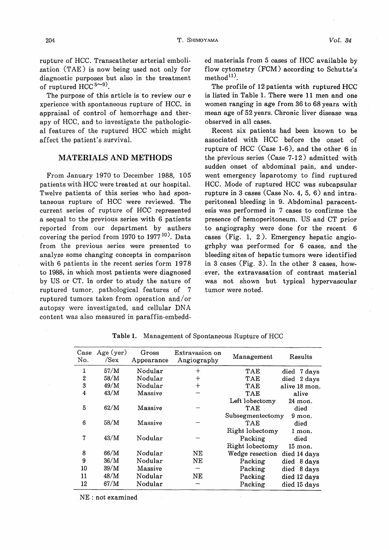rupture of HCC. Transcatheter arterial embolization (TAE) is now being used not only for diagnostic purposes but also in the treatment of ruptured HCC  $5^{\sim 9}$ .

The purpose of this article is to review our e xperience with spontaneous rupture of HCC, in appraisal of control of hemorrhage and therapy of HCC, and to investigate the pathological features of the ruptured HCC which might affect the patient's survival.

### MATERIALS AND METHODS

From January 1970 to December 1988, 105 patients with HCC were treated at our hospital. Twelve patients of this series who had spontaneous rupture of HCC were reviewed. The current series of rupture of HCC represented a sequal to the previous series with 6 patients reported from our department by authers covering the period from 1970 to 1977 10). Data from the previous series were presented to analyze some changing concepts in comparison with 6 patients in the recent series form 1978 to 1988, in which most patients were diagnosed by US or CT. In order to study the nature of ruptured tumor, pathological features of 7 ruptured tumors taken from operation and/or autopsy were investigated, and cellular DNA content was also measured in paraffin-embedded materials from 5 cases of HCC available by flow cytometry (FCM) according to Schutte's method $^{11}$ .

The profile of 12 patients with ruptured HCC is listed in Table 1. There were 11 men and one women ranging in age from 36 to 68 years with mean age of 52 years. Chronic liver disease was observed in all cases.

Recent six patients had been known to be associated with HCC before the onset of rupture of HCC (Case 1-6), and the other 6 in the previous series (Case 7-12) admitted with sudden onset of abdominal pain, and underwent emergency laparotomy to find ruptured HCC. Mode of ruptured HCC was subcapsular rupture in 3 cases (Case No. 4, 5, 6) and intraperitoneal bleeding in 9. Abdominal paracentesis was performed in 7 cases to confirme the presence of hemoperitoneum. US and CT prior to angiography were done for the recent 6 cases (Fig. 1, 2 ). Emergency hepatic angiogrhphy was performed for 6 cases, and the bleeding sites of hepatic tumors were identified in 3 cases (Fig. 3). In the other 3 cases, however, the extravasation of contrast material was not shown but typical hypervascular tumor were noted.

| Case<br>No.      | Age (ver)<br>/Sex | Gross<br>Appearance | Extravasion on<br>Angiography | Management       | Results        |
|------------------|-------------------|---------------------|-------------------------------|------------------|----------------|
| 1                | 57/M              | Nodular             | $+$                           | TAE              | 7 days<br>died |
| $\boldsymbol{2}$ | 58/M              | Nodular             | $\div$                        | TAE              | 2 days<br>died |
| 3                | 49/M              | Nodular             | $\overline{+}$                | TAE              | alive 18 mon.  |
| 4                | 43/M              | Massive             |                               | TAE              | alive          |
|                  |                   |                     |                               | Left lobectomy   | 24 mon.        |
| 5                | 62/M              | Massive             |                               | TAE              | died           |
|                  |                   |                     |                               | Subsegmentectomy | $9$ mon.       |
| 6                | 58/M              | Massive             |                               | TAE              | died           |
|                  |                   |                     |                               | Right lobectomy  | 1 mon.         |
| 7                | 43/M              | Nodular             |                               | Packing          | died           |
|                  |                   |                     |                               | Right lobectomy  | 15 mon.        |
| 8                | 66/M              | Nodular             | NΕ                            | Wedge resection  | died 14 days   |
| 9                | 36/M              | Nodular             | NЕ                            | Packing          | 8 days<br>died |
| 10               | 39/M              | Massive             |                               | Packing          | 8 days<br>died |
| 11               | 48/M              | Nodular             | NΕ                            | Packing          | died 12 days   |
| 12               | 67/M              | Nodular             |                               | Packing          | died 15 days   |

Table 1. Management of Spontaneous Rupture of HCC

NE : not examined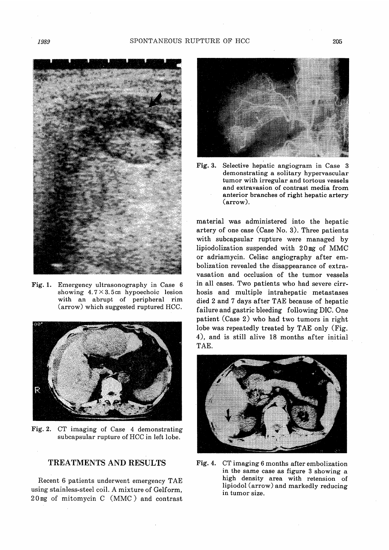

Fig. 1. Emergency ultrasonography in Case 6 showing  $4.7 \times 3.5$  cm hypoechoic lesion with an abrupt of peripheral rim (arrow) which suggested ruptured HCC.



Fig. 2. CT imaging of Case 4 demonstrating subcapsular rupture of HCC in left lobe.

### TREATMENTS AND RESULTS

Recent 6 patients underwent emergency TAE using stainless-steel coil. A mixture of Gelform, 2 0 mg of mitomycin C (MMC) and contrast



Fig. 3. Selective hepatic angiogram in Case 3 demonstrating a solitary hypervascular tumor with irregular and tortous vessels and extravasion of contrast media from anterior branches of right hepatic artery (arrow).

material was administered into the hepatic artery of one case (Case No. 3). Three patients with subcapsular rupture were managed by lipiodolization suspended with 2 0 mg of MMC or adriamycin. Celiac angiography after embolization revealed the disappearance of extravasation and occlusion of the tumor vessels in all cases. Two patients who had severe cirrhosis and multiple intrahepatic metastases died 2 and 7 days after TAE because of hepatic failure and gastric bleeding following DIC. One patient (Case 2) who had two tumors in right lobe was repeatedly treated by TAE only (Fig. 4), and is still alive 18 months after initial TAE.



Fig. 4. CT imaging 6 months after embolization in the same case as figure 3 showing a high density area with retension of lipiodol (arrow) and markedly reducing in tumor size.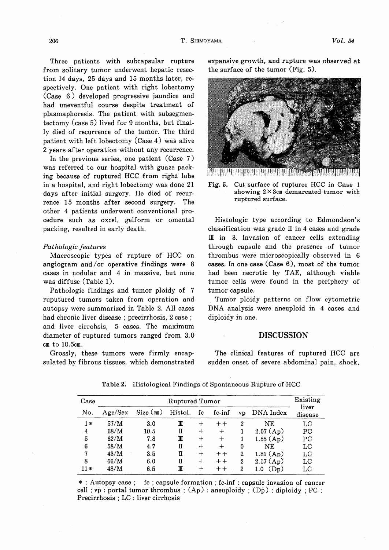Three patients with subcapsular rupture from solitary tumor underwent hepatic resection 14 days, 25 days and 15 months later, respectively. One patient with right lobectomy (Case 6) developed progressive jaundice and had uneventful course despite treatment of plasmaphoresis. The patient with subsegmentectomy (case 5) lived for 9 months, but finally died of recurrence of the tumor. The third patient with left lobectomy (Case 4) was alive 2 years after operation without any recurrence.

In the previous series, one patient (Case 7) was referred to our hospital with guaze packing because of ruptured HCC from right lobe in a hospital, and right lobectomy was done 21 days after initial surgery. He died of recurrence 15 months after second surgery. The other 4 patients underwent conventional procedure such as oxcel, gelform or omental packing, resulted in early death.

#### Pathologic features

Macroscopic types of rupture of HCC on angiogram and/or operative findings were 8 cases in nodular and 4 in massive, but none was diffuse (Table 1).

Pathologic findings and tumor ploidy of 7 ruputured tumors taken from operation and autopsy were summarized in Table 2. All cases had chronic liver disease ; precirrhosis, 2 case ; and liver cirrohsis, 5 cases. The maximum diameter of ruptured tumors ranged from 3.0 cm to 10.5cm.

Grossly, these tumors were firmly encapsulated by fibrous tissues, which demonstrated expansive growth, and rupture was observed at the surface of the tumor (Fig. 5).



Fig. 5. Cut surface of rupturee HCC in Case 1 showing  $2 \times 3$ cm demarcated tumor with ruptured surface.

Histologic type according to Edmondson's classification was grade  $II$  in 4 cases and grade III in 3. Invasion of cancer cells extending through capsule and the presence of tumor thrombus were microscopically observed in 6 cases. In one case (Case 6), most of the tumor had been necrotic by TAE, although viable tumor cells were found in the periphery of tumor capsule.

Tumor ploidy patterns on flow cytometric DNA analysis were aneuploid in 4 cases and diploidy in one.

#### DISCUSSION

The clinical features of ruptured HCC are sudden onset of severe abdominal pain, shock,

| Case | Ruptured Tumor |               |         |        |         |                  |                          |                  |  |
|------|----------------|---------------|---------|--------|---------|------------------|--------------------------|------------------|--|
| No.  | Age/Sex        | $Size$ $(cm)$ | Histol. | fc     | fc-inf  | ٧D               | DNA Index                | liver<br>disease |  |
| $1*$ | 57/M           | 3.0           | III     |        | $++$    | 2                | NE                       | LC               |  |
| 4    | 68/M           | 10.5          | П       | ┿      | $^+$    |                  | $2.07(A_{D})$            | PС               |  |
| 5    | 62/M           | 7.8           | Ш       | $^+$   | $\,+\,$ |                  | 1.55(Ap)                 | PC               |  |
| 6    | 58/M           | 4.7           | П       | $\div$ | $\div$  | 0                | ΝE                       | LC               |  |
| 7    | 43/M           | 3.5           | п       |        | $++$    | 2                | 1.81(Ap)                 | LC               |  |
| 8    | 66/M           | 6.0           | Π       |        | $++$    | $\boldsymbol{2}$ | 2.17(A <sub>D</sub> )    | LC               |  |
| 11 * | 48/M           | 6.5           | m       |        | $+ +$   | 2                | (D <sub>D</sub> )<br>1.0 | LC               |  |

Table 2. Histological Findings of Spontaneous Rupture of HCC

\* : Autopsy case ; fc ; capsule formation ; fc-inf : capsule invasion of cancer cell ; vp : portal tumor thrombus ;  $(Ap)$  : aneuploidy ;  $(Dp)$  : diploidy ; PC : Precirrhosis ; LC : liver cirrhosis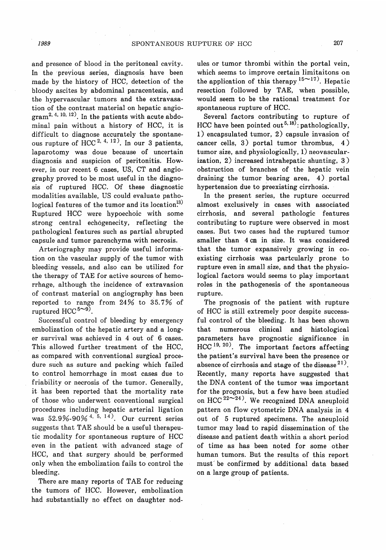and presence of blood in the peritoneal cavity. In the previous series, diagnosis have been made by the history of HCC, detection of the bloody ascites by abdominal paracentesis, and the hypervascular tumors and the extravasation of the contrast material on hepatic angio- $\text{gram}^{2, 4, 10, 12}$ . In the patients with acute abdominal pain without a history of HCC, it is difficult to diagnose accurately the spontaneous rupture of HCC <sup>2, 4, 12</sup>). In our 3 patients, laparotomy was doue because of uncertain diagnosis and suspicion of peritonitis. However, in our recent 6 cases, US, CT and angiography proved to be most useful in the diagnosis of ruptured HCC. Of these diagnostic modalities available, US could evaluate pathological features of the tumor and its location.<sup>[3]</sup> Ruptured HCC were hypoechoic with some strong central echogenecity, reflecting the pathological features such as partial abrupted capsule and tumor parenchyma with necrosis.

Arteriography may provide useful information on the vascular supply of the tumor with bleeding vessels, and also can be utilized for the therapy of TAE for active sources of hemorrhage, although the incidence of extravasion of contrast material on angiography has been reported to range from 24% to 35.7% of ruptured HCC  $5^{\sim 9}$ .

Successful control of bleeding by emergency embolization of the hepatic artery and a longer survival was achieved in 4 out of 6 cases. This allowed further treatment of the HCC, as compared with conventional surgical procedure such as suture and packing which failed to control hemorrhage in most cases due to friability or necrosis of the tumor. Generally, it has been reported that the mortality rate of those who underwent conventional surgical procedures including hepatic arterial ligation was  $52.9\% - 90\% + 5, 14$ . Our current series suggests that TAE should be a useful therapeutic modality for spontaneous rupture of HCC even in the patient with advanced stage of HCC, and that surgery should be. performed only when the embolization fails to control the bleeding.

There are many reports of TAE for reducing the tumors of HCC. However, embolization had substantially no effect on daughter nodules or tumor thrombi within the portal vein, which seems to improve certain limitaitons on the application of this therapy  $15^{\sim}17$ ). Hepatic resection followed by TAE, when possible, would seem to be the rational treatment for spontaneous rupture of HCC.

Several factors contributing to rupture of HCC have been pointed out<sup>5,18)</sup>: pathologically, 1) encapsulated tumor, 2) capsule invasion of cancer cells, 3) portal tumor thrombus, 4 ) tumor size, and physiologically, 1) neovascularization, 2) increased intrahepatic shunting, 3 ) obstruction of branches of the hepatic vein draining the tumor bearing area, 4). portal hypertension due to preexisting cirrhosis.

In the present series, the rupture occurred almost exclusively in cases with associated cirrhosis, and several pathologic features contributing to rupture were observed in most cases. But two cases had the ruptured tumor smaller than 4 cm in size. It was considered that the tumor expansively growing in coexisting cirrhosis was partcularly prone to rupture even in small size, and that the physiological factors would seems to play important roles in the pathogenesis of the spontaneous rupture.

The prognosis of the patient with rupture of HCC is still extremely poor despite successful control of the bleeding. It has been shown that numerous clinical and histological parameters have prognostic significance in  $HCC<sup>19, 20</sup>$ . The important factors affecting the patient's survival have been the presence or absence of cirrhosis and stage of the disease  $21$ ). Recently, many reports have suggested that the DNA content of the tumor was important for the prognosis, but a few have been studied on HCC  $^{22\sim24}$ ). We recognized DNA aneuploid pattern on flow cytometric DNA analysis in 4 out of 5 ruptured specimens. The aneuploid tumor may lead to rapid dissemination of. the disease and patient death within a short period of time as has been noted for some other human tumors. But the results of this report must be confirmed by additional data based on a large group of patients.